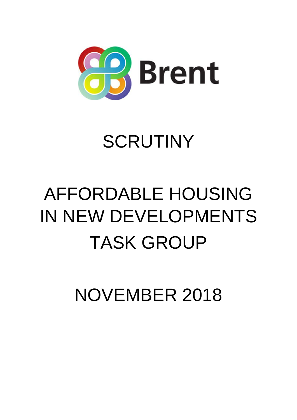

# SCRUTINY

# AFFORDABLE HOUSING IN NEW DEVELOPMENTS TASK GROUP

NOVEMBER 2018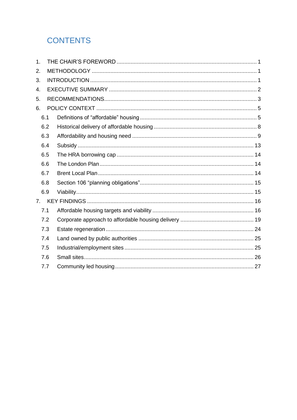# **CONTENTS**

| 1. |     |  |  |  |  |
|----|-----|--|--|--|--|
| 2. |     |  |  |  |  |
| 3. |     |  |  |  |  |
| 4. |     |  |  |  |  |
| 5. |     |  |  |  |  |
| 6. |     |  |  |  |  |
|    | 6.1 |  |  |  |  |
|    | 6.2 |  |  |  |  |
|    | 6.3 |  |  |  |  |
|    | 6.4 |  |  |  |  |
|    | 6.5 |  |  |  |  |
|    | 6.6 |  |  |  |  |
|    | 6.7 |  |  |  |  |
|    | 6.8 |  |  |  |  |
|    | 6.9 |  |  |  |  |
| 7. |     |  |  |  |  |
|    | 7.1 |  |  |  |  |
|    | 7.2 |  |  |  |  |
|    | 7.3 |  |  |  |  |
|    | 7.4 |  |  |  |  |
|    | 7.5 |  |  |  |  |
|    | 7.6 |  |  |  |  |
|    | 7.7 |  |  |  |  |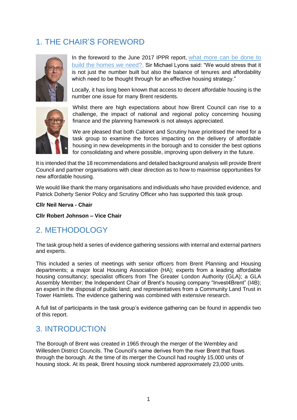# <span id="page-2-0"></span>1. THE CHAIR'S FOREWORD



In the foreword to the June 2017 IPPR report, what [more](https://www.ippr.org/files/2017-06/lyons-edited-collection-june-2017.pdf) can be done to build the [homes](https://www.ippr.org/files/2017-06/lyons-edited-collection-june-2017.pdf) we need?, Sir Michael Lyons said: "We would stress that it is not just the number built but also the balance of tenures and affordability which need to be thought through for an effective housing strategy."

Locally, it has long been known that access to decent affordable housing is the number one issue for many Brent residents.



Whilst there are high expectations about how Brent Council can rise to a challenge, the impact of national and regional policy concerning housing finance and the planning framework is not always appreciated.

We are pleased that both Cabinet and Scrutiny have prioritised the need for a task group to examine the forces impacting on the delivery of affordable housing in new developments in the borough and to consider the best options for consolidating and where possible, improving upon delivery in the future.

It is intended that the 18 recommendations and detailed background analysis will provide Brent Council and partner organisations with clear direction as to how to maximise opportunities for new affordable housing.

We would like thank the many organisations and individuals who have provided evidence, and Patrick Doherty Senior Policy and Scrutiny Officer who has supported this task group.

**Cllr Neil Nerva - Chair**

**Cllr Robert Johnson – Vice Chair** 

# <span id="page-2-1"></span>2. METHODOLOGY

The task group held a series of evidence gathering sessions with internal and external partners and experts.

This included a series of meetings with senior officers from Brent Planning and Housing departments; a major local Housing Association (HA); experts from a leading affordable housing consultancy; specialist officers from The Greater London Authority (GLA); a GLA Assembly Member; the Independent Chair of Brent's housing company "Invest4Brent" (I4B); an expert in the disposal of public land; and representatives from a Community Land Trust in Tower Hamlets. The evidence gathering was combined with extensive research.

A full list of participants in the task group's evidence gathering can be found in appendix two of this report.

# <span id="page-2-2"></span>3. INTRODUCTION

The Borough of Brent was created in 1965 through the merger of the Wembley and Willesden District Councils. The Council's name derives from the river Brent that flows through the borough. At the time of its merger the Council had roughly 15,000 units of housing stock. At its peak, Brent housing stock numbered approximately 23,000 units.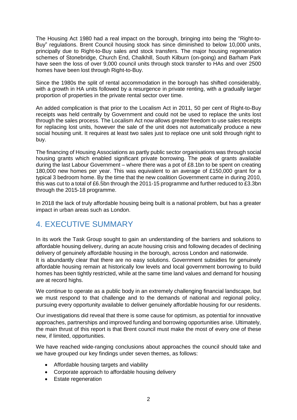The Housing Act 1980 had a real impact on the borough, bringing into being the "Right-to-Buy" regulations. Brent Council housing stock has since diminished to below 10,000 units, principally due to Right-to-Buy sales and stock transfers. The major housing regeneration schemes of Stonebridge, Church End, Chalkhill, South Kilburn (on-going) and Barham Park have seen the loss of over 9,000 council units through stock transfer to HAs and over 2500 homes have been lost through Right-to-Buy.

Since the 1980s the split of rental accommodation in the borough has shifted considerably, with a growth in HA units followed by a resurgence in private renting, with a gradually larger proportion of properties in the private rental sector over time.

An added complication is that prior to the Localism Act in 2011, 50 per cent of Right-to-Buy receipts was held centrally by Government and could not be used to replace the units lost through the sales process. The Localism Act now allows greater freedom to use sales receipts for replacing lost units, however the sale of the unit does not automatically produce a new social housing unit. It requires at least two sales just to replace one unit sold through right to buy.

The financing of Housing Associations as partly public sector organisations was through social housing grants which enabled significant private borrowing. The peak of grants available during the last Labour Government – where there was a pot of £8.1bn to be spent on creating 180,000 new homes per year. This was equivalent to an average of £150,000 grant for a typical 3 bedroom home. By the time that the new coalition Government came in during 2010, this was cut to a total of £6.5bn through the 2011-15 programme and further reduced to £3.3bn through the 2015-18 programme.

In 2018 the lack of truly affordable housing being built is a national problem, but has a greater impact in urban areas such as London.

# <span id="page-3-0"></span>4. EXECUTIVE SUMMARY

In its work the Task Group sought to gain an understanding of the barriers and solutions to affordable housing delivery, during an acute housing crisis and following decades of declining delivery of genuinely affordable housing in the borough, across London and nationwide. It is abundantly clear that there are no easy solutions. Government subsidies for genuinely affordable housing remain at historically low levels and local government borrowing to build homes has been tightly restricted, while at the same time land values and demand for housing are at record highs.

We continue to operate as a public body in an extremely challenging financial landscape, but we must respond to that challenge and to the demands of national and regional policy, pursuing every opportunity available to deliver genuinely affordable housing for our residents.

Our investigations did reveal that there is some cause for optimism, as potential for innovative approaches, partnerships and improved funding and borrowing opportunities arise. Ultimately, the main thrust of this report is that Brent council must make the most of every one of these new, if limited, opportunities.

We have reached wide-ranging conclusions about approaches the council should take and we have grouped our key findings under seven themes, as follows:

- Affordable housing targets and viability
- Corporate approach to affordable housing delivery
- Estate regeneration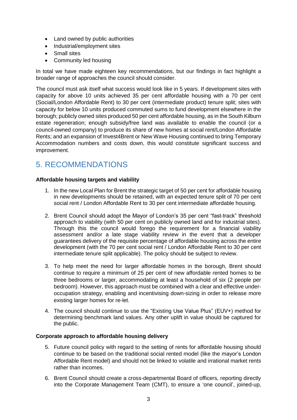- Land owned by public authorities
- Industrial/employment sites
- Small sites
- Community led housing

In total we have made eighteen key recommendations, but our findings in fact highlight a broader range of approaches the council should consider.

The council must ask itself what success would look like in 5 years. If development sites with capacity for above 10 units achieved 35 per cent affordable housing with a 70 per cent (Social/London Affordable Rent) to 30 per cent (intermediate product) tenure split; sites with capacity for below 10 units produced commuted sums to fund development elsewhere in the borough; publicly owned sites produced 50 per cent affordable housing, as in the South Kilburn estate regeneration; enough subsidy/free land was available to enable the council (or a council-owned company) to produce its share of new homes at social rent/London Affordable Rents; and an expansion of Invest4Brent or New Wave Housing continued to bring Temporary Accommodation numbers and costs down, this would constitute significant success and improvement.

# <span id="page-4-0"></span>5. RECOMMENDATIONS

### **Affordable housing targets and viability**

- 1. In the new Local Plan for Brent the strategic target of 50 per cent for affordable housing in new developments should be retained, with an expected tenure split of 70 per cent social rent / London Affordable Rent to 30 per cent intermediate affordable housing.
- 2. Brent Council should adopt the Mayor of London's 35 per cent "fast-track" threshold approach to viability (with 50 per cent on publicly owned land and for industrial sites). Through this the council would forego the requirement for a financial viability assessment and/or a late stage viability review in the event that a developer guarantees delivery of the requisite percentage of affordable housing across the entire development (with the 70 per cent social rent / London Affordable Rent to 30 per cent intermediate tenure split applicable). The policy should be subject to review.
- 3. To help meet the need for larger affordable homes in the borough, Brent should continue to require a minimum of 25 per cent of new affordable rented homes to be three bedrooms or larger, accommodating at least a household of six (2 people per bedroom). However, this approach must be combined with a clear and effective underoccupation strategy, enabling and incentivising down-sizing in order to release more existing larger homes for re-let.
- 4. The council should continue to use the "Existing Use Value Plus" (EUV+) method for determining benchmark land values. Any other uplift in value should be captured for the public.

### **Corporate approach to affordable housing delivery**

- 5. Future council policy with regard to the setting of rents for affordable housing should continue to be based on the traditional social rented model (like the mayor's London Affordable Rent model) and should not be linked to volatile and irrational market rents rather than incomes.
- 6. Brent Council should create a cross-departmental Board of officers, reporting directly into the Corporate Management Team (CMT), to ensure a 'one council', joined-up,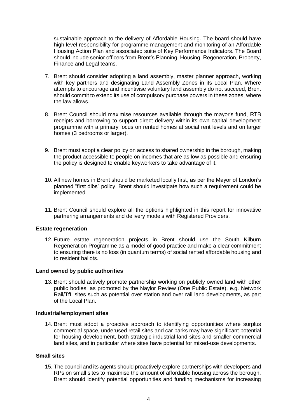sustainable approach to the delivery of Affordable Housing. The board should have high level responsibility for programme management and monitoring of an Affordable Housing Action Plan and associated suite of Key Performance Indicators. The Board should include senior officers from Brent's Planning, Housing, Regeneration, Property, Finance and Legal teams.

- 7. Brent should consider adopting a land assembly, master planner approach, working with key partners and designating Land Assembly Zones in its Local Plan. Where attempts to encourage and incentivise voluntary land assembly do not succeed, Brent should commit to extend its use of compulsory purchase powers in these zones, where the law allows.
- 8. Brent Council should maximise resources available through the mayor's fund, RTB receipts and borrowing to support direct delivery within its own capital development programme with a primary focus on rented homes at social rent levels and on larger homes (3 bedrooms or larger).
- 9. Brent must adopt a clear policy on access to shared ownership in the borough, making the product accessible to people on incomes that are as low as possible and ensuring the policy is designed to enable keyworkers to take advantage of it.
- 10. All new homes in Brent should be marketed locally first, as per the Mayor of London's planned "first dibs" policy. Brent should investigate how such a requirement could be implemented.
- 11. Brent Council should explore all the options highlighted in this report for innovative partnering arrangements and delivery models with Registered Providers.

### **Estate regeneration**

12. Future estate regeneration projects in Brent should use the South Kilburn Regeneration Programme as a model of good practice and make a clear commitment to ensuring there is no loss (in quantum terms) of social rented affordable housing and to resident ballots.

#### **Land owned by public authorities**

13. Brent should actively promote partnership working on publicly owned land with other public bodies, as promoted by the Naylor Review (One Public Estate), e.g. Network Rail/TfL sites such as potential over station and over rail land developments, as part of the Local Plan.

#### **Industrial/employment sites**

14. Brent must adopt a proactive approach to identifying opportunities where surplus commercial space, underused retail sites and car parks may have significant potential for housing development, both strategic industrial land sites and smaller commercial land sites, and in particular where sites have potential for mixed-use developments.

#### **Small sites**

15. The council and its agents should proactively explore partnerships with developers and RPs on small sites to maximise the amount of affordable housing across the borough. Brent should identify potential opportunities and funding mechanisms for increasing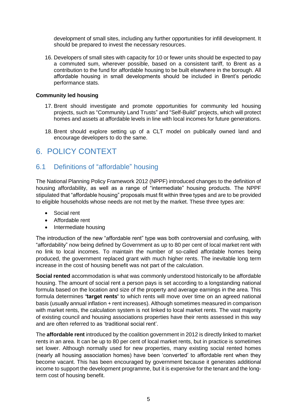development of small sites, including any further opportunities for infill development. It should be prepared to invest the necessary resources.

16. Developers of small sites with capacity for 10 or fewer units should be expected to pay a commuted sum, wherever possible, based on a consistent tariff, to Brent as a contribution to the fund for affordable housing to be built elsewhere in the borough. All affordable housing in small developments should be included in Brent's periodic performance stats.

### **Community led housing**

- 17. Brent should investigate and promote opportunities for community led housing projects, such as "Community Land Trusts" and "Self-Build" projects, which will protect homes and assets at affordable levels in line with local incomes for future generations.
- 18. Brent should explore setting up of a CLT model on publically owned land and encourage developers to do the same.

# <span id="page-6-0"></span>6. POLICY CONTEXT

### <span id="page-6-1"></span>6.1 Definitions of "affordable" housing

The National Planning Policy Framework 2012 (NPPF) introduced changes to the definition of housing affordability, as well as a range of "intermediate" housing products. The NPPF stipulated that "affordable housing" proposals must fit within three types and are to be provided to eligible households whose needs are not met by the market. These three types are:

- Social rent
- Affordable rent
- Intermediate housing

The introduction of the new "affordable rent" type was both controversial and confusing, with "affordability" now being defined by Government as up to 80 per cent of local market rent with no link to local incomes. To maintain the number of so-called affordable homes being produced, the government replaced grant with much higher rents. The inevitable long term increase in the cost of housing benefit was not part of the calculation.

**Social rented** accommodation is what was commonly understood historically to be affordable housing. The amount of social rent a person pays is set according to a longstanding national formula based on the location and size of the property and average earnings in the area. This formula determines **'target rents'** to which rents will move over time on an agreed national basis (usually annual inflation + rent increases). Although sometimes measured in comparison with market rents, the calculation system is not linked to local market rents. The vast majority of existing council and housing associations properties have their rents assessed in this way and are often referred to as 'traditional social rent'.

The **affordable rent** introduced by the coalition government in 2012 is directly linked to market rents in an area. It can be up to 80 per cent of local market rents, but in practice is sometimes set lower. Although normally used for new properties, many existing social rented homes (nearly all housing association homes) have been 'converted' to affordable rent when they become vacant. This has been encouraged by government because it generates additional income to support the development programme, but it is expensive for the tenant and the longterm cost of housing benefit.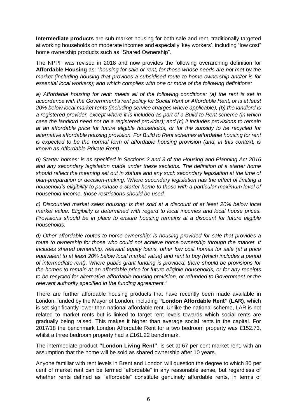**Intermediate products** are sub-market housing for both sale and rent, traditionally targeted at working households on moderate incomes and especially 'key workers', including "low cost" home ownership products such as "Shared Ownership".

The NPPF was revised in 2018 and now provides the following overarching definition for **Affordable Housing** as: "*housing for sale or rent, for those whose needs are not met by the market (including housing that provides a subsidised route to home ownership and/or is for essential local workers); and which complies with one or more of the following definitions:*

*a) Affordable housing for rent: meets all of the following conditions: (a) the rent is set in accordance with the Government's rent policy for Social Rent or Affordable Rent, or is at least 20% below local market rents (including service charges where applicable); (b) the landlord is a registered provider, except where it is included as part of a Build to Rent scheme (in which case the landlord need not be a registered provider); and (c) it includes provisions to remain at an affordable price for future eligible households, or for the subsidy to be recycled for alternative affordable housing provision. For Build to Rent schemes affordable housing for rent is expected to be the normal form of affordable housing provision (and, in this context, is known as Affordable Private Rent).*

*b) Starter homes: is as specified in Sections 2 and 3 of the Housing and Planning Act 2016 and any secondary legislation made under these sections. The definition of a starter home should reflect the meaning set out in statute and any such secondary legislation at the time of plan-preparation or decision-making. Where secondary legislation has the effect of limiting a household's eligibility to purchase a starter home to those with a particular maximum level of household income, those restrictions should be used.*

*c) Discounted market sales housing: is that sold at a discount of at least 20% below local market value. Eligibility is determined with regard to local incomes and local house prices. Provisions should be in place to ensure housing remains at a discount for future eligible households.*

*d) Other affordable routes to home ownership: is housing provided for sale that provides a route to ownership for those who could not achieve home ownership through the market. It includes shared ownership, relevant equity loans, other low cost homes for sale (at a price equivalent to at least 20% below local market value) and rent to buy (which includes a period of intermediate rent). Where public grant funding is provided, there should be provisions for the homes to remain at an affordable price for future eligible households, or for any receipts to be recycled for alternative affordable housing provision, or refunded to Government or the relevant authority specified in the funding agreement."*

There are further affordable housing products that have recently been made available in London, funded by the Mayor of London, including **"London Affordable Rent" (LAR)**, which is set significantly lower than national affordable rent. Unlike the national scheme, LAR is not related to market rents but is linked to target rent levels towards which social rents are gradually being raised. This makes it higher than average social rents in the capital. For 2017/18 the benchmark London Affordable Rent for a two bedroom property was £152.73, whilst a three bedroom property had a £161.22 benchmark.

The intermediate product **"London Living Rent"**, is set at 67 per cent market rent, with an assumption that the home will be sold as shared ownership after 10 years.

Anyone familiar with rent levels in Brent and London will question the degree to which 80 per cent of market rent can be termed "affordable" in any reasonable sense, but regardless of whether rents defined as "affordable" constitute genuinely affordable rents, in terms of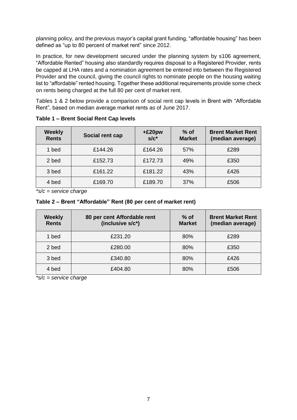planning policy, and the previous mayor's capital grant funding, "affordable housing" has been defined as "up to 80 percent of market rent" since 2012.

In practice, for new development secured under the planning system by s106 agreement, "Affordable Rented" housing also standardly requires disposal to a Registered Provider, rents be capped at LHA rates and a nomination agreement be entered into between the Registered Provider and the council, giving the council rights to nominate people on the housing waiting list to "affordable" rented housing. Together these additional requirements provide some check on rents being charged at the full 80 per cent of market rent.

Tables 1 & 2 below provide a comparison of social rent cap levels in Brent with "Affordable Rent", based on median average market rents as of June 2017.

| <b>Weekly</b><br><b>Rents</b> | Social rent cap | $+£20pw$<br>$s/c^*$ | $%$ of<br><b>Market</b> | <b>Brent Market Rent</b><br>(median average) |
|-------------------------------|-----------------|---------------------|-------------------------|----------------------------------------------|
| 1 bed                         | £144.26         | £164.26             | 57%                     | £289                                         |
| 2 bed                         | £152.73         | £172.73             | 49%                     | £350                                         |
| 3 bed                         | £161.22         | £181.22             | 43%                     | £426                                         |
| 4 bed                         | £169.70         | £189.70             | 37%                     | £506                                         |

**Table 1 – Brent Social Rent Cap levels**

*\*s/c = service charge*

**Table 2 – Brent "Affordable" Rent (80 per cent of market rent)**

| Weekly<br><b>Rents</b> | 80 per cent Affordable rent<br>(inclusive s/c*) | $%$ of<br><b>Market</b> | <b>Brent Market Rent</b><br>(median average) |
|------------------------|-------------------------------------------------|-------------------------|----------------------------------------------|
| 1 bed                  | £231.20                                         | 80%                     | £289                                         |
| 2 bed                  | £280.00                                         | 80%                     | £350                                         |
| 3 bed                  | £340.80                                         | 80%                     | £426                                         |
| 4 bed                  | £404.80                                         | 80%                     | £506                                         |

*\*s/c = service charge*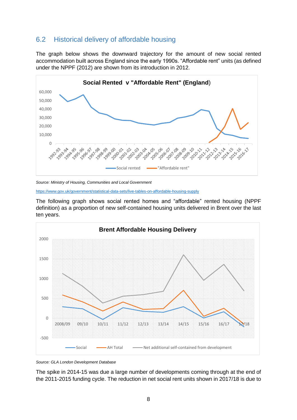### <span id="page-9-0"></span>6.2 Historical delivery of affordable housing

The graph below shows the downward trajectory for the amount of new social rented accommodation built across England since the early 1990s. "Affordable rent" units (as defined under the NPPF (2012) are shown from its introduction in 2012.



*Source: Ministry of Housing, Communities and Local Government*

<https://www.gov.uk/government/statistical-data-sets/live-tables-on-affordable-housing-supply>

The following graph shows social rented homes and "affordable" rented housing (NPPF definition) as a proportion of new self-contained housing units delivered in Brent over the last ten years.



*Source: GLA London Development Database*

The spike in 2014-15 was due a large number of developments coming through at the end of the 2011-2015 funding cycle. The reduction in net social rent units shown in 2017/18 is due to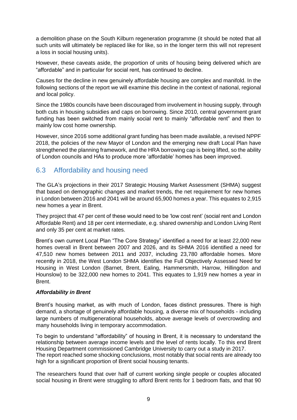a demolition phase on the South Kilburn regeneration programme (it should be noted that all such units will ultimately be replaced like for like, so in the longer term this will not represent a loss in social housing units).

However, these caveats aside, the proportion of units of housing being delivered which are "affordable" and in particular for social rent, has continued to decline.

Causes for the decline in new genuinely affordable housing are complex and manifold. In the following sections of the report we will examine this decline in the context of national, regional and local policy.

Since the 1980s councils have been discouraged from involvement in housing supply, through both cuts in housing subsidies and caps on borrowing. Since 2010, central government grant funding has been switched from mainly social rent to mainly "affordable rent" and then to mainly low cost home ownership.

However, since 2016 some additional grant funding has been made available, a revised NPPF 2018, the policies of the new Mayor of London and the emerging new draft Local Plan have strengthened the planning framework, and the HRA borrowing cap is being lifted, so the ability of London councils and HAs to produce more 'affordable' homes has been improved.

# <span id="page-10-0"></span>6.3 Affordability and housing need

The GLA's projections in their 2017 Strategic Housing Market Assessment (SHMA) suggest that based on demographic changes and market trends, the net requirement for new homes in London between 2016 and 2041 will be around 65,900 homes a year. This equates to 2,915 new homes a year in Brent.

They project that 47 per cent of these would need to be 'low cost rent' (social rent and London Affordable Rent) and 18 per cent intermediate, e.g. shared ownership and London Living Rent and only 35 per cent at market rates.

Brent's own current Local Plan "The Core Strategy" identified a need for at least 22,000 new homes overall in Brent between 2007 and 2026, and its SHMA 2016 identified a need for 47,510 new homes between 2011 and 2037, including 23,780 affordable homes. More recently in 2018, the West London SHMA identifies the Full Objectively Assessed Need for Housing in West London (Barnet, Brent, Ealing, Hammersmith, Harrow, Hillingdon and Hounslow) to be 322,000 new homes to 2041. This equates to 1,919 new homes a year in Brent.

### *Affordability in Brent*

Brent's housing market, as with much of London, faces distinct pressures. There is high demand, a shortage of genuinely affordable housing, a diverse mix of households - including large numbers of multigenerational households, above average levels of overcrowding and many households living in temporary accommodation.

To begin to understand "affordability" of housing in Brent, it is necessary to understand the relationship between average income levels and the level of rents locally. To this end Brent Housing Department commissioned Cambridge University to carry out a study in 2017. The report reached some shocking conclusions, most notably that social rents are already too high for a significant proportion of Brent social housing tenants.

The researchers found that over half of current working single people or couples allocated social housing in Brent were struggling to afford Brent rents for 1 bedroom flats, and that 90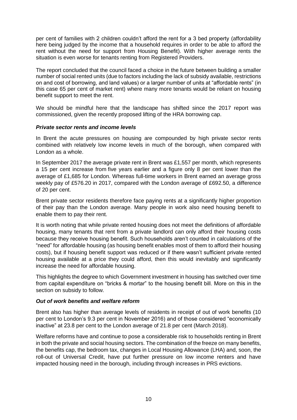per cent of families with 2 children couldn't afford the rent for a 3 bed property (affordability here being judged by the income that a household requires in order to be able to afford the rent without the need for support from Housing Benefit). With higher average rents the situation is even worse for tenants renting from Registered Providers.

The report concluded that the council faced a choice in the future between building a smaller number of social rented units (due to factors including the lack of subsidy available, restrictions on and cost of borrowing, and land values) or a larger number of units at "affordable rents" (in this case 65 per cent of market rent) where many more tenants would be reliant on housing benefit support to meet the rent.

We should be mindful here that the landscape has shifted since the 2017 report was commissioned, given the recently proposed lifting of the HRA borrowing cap.

### *Private sector rents and income levels*

In Brent the acute pressures on housing are compounded by high private sector rents combined with relatively low income levels in much of the borough, when compared with London as a whole.

In September 2017 the average private rent in Brent was £1,557 per month, which represents a 15 per cent increase from five years earlier and a figure only 8 per cent lower than the average of £1,685 for London. Whereas full-time workers in Brent earned an average gross weekly pay of £576.20 in 2017, compared with the London average of £692.50, a difference of 20 per cent.

Brent private sector residents therefore face paying rents at a significantly higher proportion of their pay than the London average. Many people in work also need housing benefit to enable them to pay their rent.

It is worth noting that while private rented housing does not meet the definitions of affordable housing, many tenants that rent from a private landlord can only afford their housing costs because they receive housing benefit. Such households aren't counted in calculations of the "need" for affordable housing (as housing benefit enables most of them to afford their housing costs), but if housing benefit support was reduced or if there wasn't sufficient private rented housing available at a price they could afford, then this would inevitably and significantly increase the need for affordable housing.

This highlights the degree to which Government investment in housing has switched over time from capital expenditure on "bricks & mortar" to the housing benefit bill. More on this in the section on subsidy to follow.

### *Out of work benefits and welfare reform*

Brent also has higher than average levels of residents in receipt of out of work benefits (10 per cent to London's 9.3 per cent in November 2016) and of those considered "economically inactive" at 23.8 per cent to the London average of 21.8 per cent (March 2018).

Welfare reforms have and continue to pose a considerable risk to households renting in Brent in both the private and social housing sectors. The combination of the freeze on many benefits, the benefits cap, the bedroom tax, changes in Local Housing Allowance (LHA) and, soon, the roll-out of Universal Credit, have put further pressure on low income renters and have impacted housing need in the borough, including through increases in PRS evictions.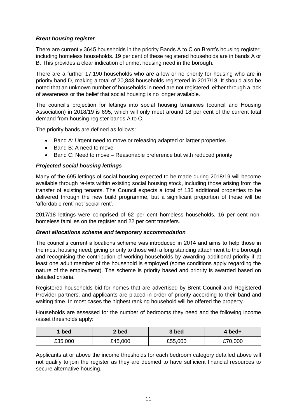### *Brent housing register*

There are currently 3645 households in the priority Bands A to C on Brent's housing register, including homeless households. 19 per cent of these registered households are in bands A or B. This provides a clear indication of unmet housing need in the borough.

There are a further 17,190 households who are a low or no priority for housing who are in priority band D, making a total of 20,843 households registered in 2017/18. It should also be noted that an unknown number of households in need are not registered, either through a lack of awareness or the belief that social housing is no longer available.

The council's projection for lettings into social housing tenancies (council and Housing Association) in 2018/19 is 695, which will only meet around 18 per cent of the current total demand from housing register bands A to C.

The priority bands are defined as follows:

- Band A: Urgent need to move or releasing adapted or larger properties
- Band B: A need to move
- Band C: Need to move Reasonable preference but with reduced priority

### *Projected social housing lettings*

Many of the 695 lettings of social housing expected to be made during 2018/19 will become available through re-lets within existing social housing stock, including those arising from the transfer of existing tenants. The Council expects a total of 136 additional properties to be delivered through the new build programme, but a significant proportion of these will be 'affordable rent' not 'social rent'.

2017/18 lettings were comprised of 62 per cent homeless households, 16 per cent nonhomeless families on the register and 22 per cent transfers.

### *Brent allocations scheme and temporary accommodation*

The council's current allocations scheme was introduced in 2014 and aims to help those in the most housing need; giving priority to those with a long standing attachment to the borough and recognising the contribution of working households by awarding additional priority if at least one adult member of the household is employed (some conditions apply regarding the nature of the employment). The scheme is priority based and priority is awarded based on detailed criteria.

Registered households bid for homes that are advertised by Brent Council and Registered Provider partners, and applicants are placed in order of priority according to their band and waiting time. In most cases the highest ranking household will be offered the property.

Households are assessed for the number of bedrooms they need and the following income /asset thresholds apply:

| bed     | 2 bed   | 3 bed   | $4$ bed+ |
|---------|---------|---------|----------|
| £35,000 | £45,000 | £55,000 | £70,000  |

Applicants at or above the income thresholds for each bedroom category detailed above will not qualify to join the register as they are deemed to have sufficient financial resources to secure alternative housing.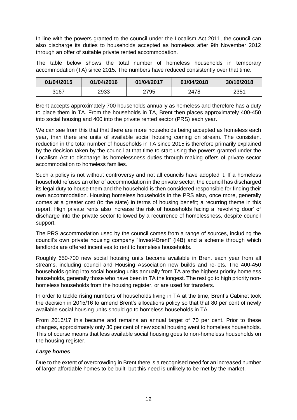In line with the powers granted to the council under the Localism Act 2011, the council can also discharge its duties to households accepted as homeless after 9th November 2012 through an offer of suitable private rented accommodation.

The table below shows the total number of homeless households in temporary accommodation (TA) since 2015. The numbers have reduced consistently over that time.

| 01/04/2015 | 01/04/2016 | 01/04/2017 | 01/04/2018 | 30/10/2018 |
|------------|------------|------------|------------|------------|
| 3167       | 2933       | 2795       | 2478       | 2351       |

Brent accepts approximately 700 households annually as homeless and therefore has a duty to place them in TA. From the households in TA, Brent then places approximately 400-450 into social housing and 400 into the private rented sector (PRS) each year.

We can see from this that that there are more households being accepted as homeless each year, than there are units of available social housing coming on stream. The consistent reduction in the total number of households in TA since 2015 is therefore primarily explained by the decision taken by the council at that time to start using the powers granted under the Localism Act to discharge its homelessness duties through making offers of private sector accommodation to homeless families.

Such a policy is not without controversy and not all councils have adopted it. If a homeless household refuses an offer of accommodation in the private sector, the council has discharged its legal duty to house them and the household is then considered responsible for finding their own accommodation. Housing homeless households in the PRS also, once more, generally comes at a greater cost (to the state) in terms of housing benefit; a recurring theme in this report. High private rents also increase the risk of households facing a 'revolving door' of discharge into the private sector followed by a recurrence of homelessness, despite council support.

The PRS accommodation used by the council comes from a range of sources, including the council's own private housing company "Invest4Brent" (I4B) and a scheme through which landlords are offered incentives to rent to homeless households.

Roughly 650-700 new social housing units become available in Brent each year from all streams, including council and Housing Association new builds and re-lets. The 400-450 households going into social housing units annually from TA are the highest priority homeless households, generally those who have been in TA the longest. The rest go to high priority nonhomeless households from the housing register, or are used for transfers.

In order to tackle rising numbers of households living in TA at the time, Brent's Cabinet took the decision in 2015/16 to amend Brent's allocations policy so that that 80 per cent of newly available social housing units should go to homeless households in TA.

From 2016/17 this became and remains an annual target of 70 per cent. Prior to these changes, approximately only 30 per cent of new social housing went to homeless households. This of course means that less available social housing goes to non-homeless households on the housing register.

### *Large homes*

Due to the extent of overcrowding in Brent there is a recognised need for an increased number of larger affordable homes to be built, but this need is unlikely to be met by the market.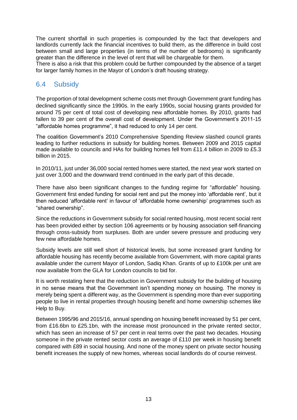The current shortfall in such properties is compounded by the fact that developers and landlords currently lack the financial incentives to build them, as the difference in build cost between small and large properties (in terms of the number of bedrooms) is significantly greater than the difference in the level of rent that will be chargeable for them.

There is also a risk that this problem could be further compounded by the absence of a target for larger family homes in the Mayor of London's draft housing strategy.

# <span id="page-14-0"></span>6.4 Subsidy

The proportion of total development scheme costs met through Government grant funding has declined significantly since the 1990s. In the early 1990s, social housing grants provided for around 75 per cent of total cost of developing new affordable homes. By 2010, grants had fallen to 39 per cent of the overall cost of development. Under the Government's 2011-15 "affordable homes programme", it had reduced to only 14 per cent.

The coalition Government's 2010 Comprehensive Spending Review slashed council grants leading to further reductions in subsidy for building homes. Between 2009 and 2015 capital made available to councils and HAs for building homes fell from £11.4 billion in 2009 to £5.3 billion in 2015.

In 2010/11, just under 36,000 social rented homes were started, the next year work started on just over 3,000 and the downward trend continued in the early part of this decade.

There have also been significant changes to the funding regime for "affordable" housing. Government first ended funding for social rent and put the money into 'affordable rent', but it then reduced 'affordable rent' in favour of 'affordable home ownership' programmes such as "shared ownership".

Since the reductions in Government subsidy for social rented housing, most recent social rent has been provided either by section 106 agreements or by housing association self-financing through cross-subsidy from surpluses. Both are under severe pressure and producing very few new affordable homes.

Subsidy levels are still well short of historical levels, but some increased grant funding for affordable housing has recently become available from Government, with more capital grants available under the current Mayor of London, Sadiq Khan. Grants of up to £100k per unit are now available from the GLA for London councils to bid for.

It is worth restating here that the reduction in Government subsidy for the building of housing in no sense means that the Government isn't spending money on housing. The money is merely being spent a different way, as the Government is spending more than ever supporting people to live in rental properties through housing benefit and home ownership schemes like Help to Buy.

Between 1995/96 and 2015/16, annual spending on housing benefit increased by 51 per cent, from £16.6bn to £25.1bn, with the increase most pronounced in the private rented sector, which has seen an increase of 57 per cent in real terms over the past two decades. Housing someone in the private rented sector costs an average of £110 per week in housing benefit compared with £89 in social housing. And none of the money spent on private sector housing benefit increases the supply of new homes, whereas social landlords do of course reinvest.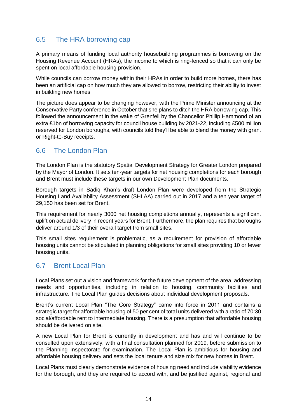# <span id="page-15-0"></span>6.5 The HRA borrowing cap

A primary means of funding local authority housebuilding programmes is borrowing on the Housing Revenue Account (HRAs), the income to which is ring-fenced so that it can only be spent on local affordable housing provision.

While councils can borrow money within their HRAs in order to build more homes, there has been an artificial cap on how much they are allowed to borrow, restricting their ability to invest in building new homes.

The picture does appear to be changing however, with the Prime Minister announcing at the Conservative Party conference in October that she plans to ditch the HRA borrowing cap. This followed the announcement in the wake of Grenfell by the Chancellor Phillip Hammond of an extra £1bn of borrowing capacity for council house building by 2021-22, including £500 million reserved for London boroughs, with councils told they'll be able to blend the money with grant or Right-to-Buy receipts.

# <span id="page-15-1"></span>6.6 The London Plan

The London Plan is the statutory Spatial Development Strategy for Greater London prepared by the Mayor of London. It sets ten-year targets for net housing completions for each borough and Brent must include these targets in our own Development Plan documents.

Borough targets in Sadiq Khan's draft London Plan were developed from the Strategic Housing Land Availability Assessment (SHLAA) carried out in 2017 and a ten year target of 29,150 has been set for Brent.

This requirement for nearly 3000 net housing completions annually, represents a significant uplift on actual delivery in recent years for Brent. Furthermore, the plan requires that boroughs deliver around 1/3 of their overall target from small sites.

This small sites requirement is problematic, as a requirement for provision of affordable housing units cannot be stipulated in planning obligations for small sites providing 10 or fewer housing units.

# <span id="page-15-2"></span>6.7 Brent Local Plan

Local Plans set out a vision and framework for the future development of the area, addressing needs and opportunities, including in relation to housing, community facilities and infrastructure. The Local Plan guides decisions about individual development proposals.

Brent's current Local Plan "The Core Strategy" came into force in 2011 and contains a strategic target for affordable housing of 50 per cent of total units delivered with a ratio of 70:30 social/affordable rent to intermediate housing. There is a presumption that affordable housing should be delivered on site.

A new Local Plan for Brent is currently in development and has and will continue to be consulted upon extensively, with a final consultation planned for 2019, before submission to the Planning Inspectorate for examination. The Local Plan is ambitious for housing and affordable housing delivery and sets the local tenure and size mix for new homes in Brent.

Local Plans must clearly demonstrate evidence of housing need and include viability evidence for the borough, and they are required to accord with, and be justified against, regional and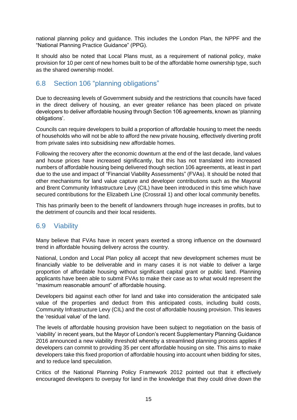national planning policy and guidance. This includes the London Plan, the NPPF and the "National Planning Practice Guidance" (PPG).

It should also be noted that Local Plans must, as a requirement of national policy, make provision for 10 per cent of new homes built to be of the affordable home ownership type, such as the shared ownership model.

# <span id="page-16-0"></span>6.8 Section 106 "planning obligations"

Due to decreasing levels of Government subsidy and the restrictions that councils have faced in the direct delivery of housing, an ever greater reliance has been placed on private developers to deliver affordable housing through Section 106 agreements, known as 'planning obligations'.

Councils can require developers to build a proportion of affordable housing to meet the needs of households who will not be able to afford the new private housing, effectively diverting profit from private sales into subsidising new affordable homes.

Following the recovery after the economic downturn at the end of the last decade, land values and house prices have increased significantly, but this has not translated into increased numbers of affordable housing being delivered though section 106 agreements, at least in part due to the use and impact of "Financial Viability Assessments" (FVAs). It should be noted that other mechanisms for land value capture and developer contributions such as the Mayoral and Brent Community Infrastructure Levy (CIL) have been introduced in this time which have secured contributions for the Elizabeth Line (Crossrail 1) and other local community benefits.

This has primarily been to the benefit of landowners through huge increases in profits, but to the detriment of councils and their local residents.

### <span id="page-16-1"></span>6.9 Viability

Many believe that FVAs have in recent years exerted a strong influence on the downward trend in affordable housing delivery across the country.

National, London and Local Plan policy all accept that new development schemes must be financially viable to be deliverable and in many cases it is not viable to deliver a large proportion of affordable housing without significant capital grant or public land. Planning applicants have been able to submit FVAs to make their case as to what would represent the "maximum reasonable amount" of affordable housing.

Developers bid against each other for land and take into consideration the anticipated sale value of the properties and deduct from this anticipated costs, including build costs, Community Infrastructure Levy (CIL) and the cost of affordable housing provision. This leaves the 'residual value' of the land.

The levels of affordable housing provision have been subject to negotiation on the basis of 'viability' in recent years, but the Mayor of London's recent Supplementary Planning Guidance 2016 announced a new viability threshold whereby a streamlined planning process applies if developers can commit to providing 35 per cent affordable housing on site. This aims to make developers take this fixed proportion of affordable housing into account when bidding for sites, and to reduce land speculation.

Critics of the National Planning Policy Framework 2012 pointed out that it effectively encouraged developers to overpay for land in the knowledge that they could drive down the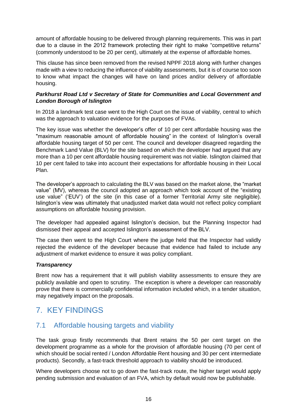amount of affordable housing to be delivered through planning requirements. This was in part due to a clause in the 2012 framework protecting their right to make "competitive returns" (commonly understood to be 20 per cent), ultimately at the expense of affordable homes.

This clause has since been removed from the revised NPPF 2018 along with further changes made with a view to reducing the influence of viability assessments, but it is of course too soon to know what impact the changes will have on land prices and/or delivery of affordable housing.

### *Parkhurst Road Ltd v Secretary of State for Communities and Local Government and London Borough of Islington*

In 2018 a landmark test case went to the High Court on the issue of viability, central to which was the approach to valuation evidence for the purposes of FVAs.

The key issue was whether the developer's offer of 10 per cent affordable housing was the "maximum reasonable amount of affordable housing" in the context of Islington's overall affordable housing target of 50 per cent. The council and developer disagreed regarding the Benchmark Land Value (BLV) for the site based on which the developer had argued that any more than a 10 per cent affordable housing requirement was not viable. Islington claimed that 10 per cent failed to take into account their expectations for affordable housing in their Local Plan.

The developer's approach to calculating the BLV was based on the market alone, the "market value" (MV), whereas the council adopted an approach which took account of the "existing use value" ('EUV') of the site (in this case of a former Territorial Army site negligible). Islington's view was ultimately that unadjusted market data would not reflect policy compliant assumptions on affordable housing provision.

The developer had appealed against Islington's decision, but the Planning Inspector had dismissed their appeal and accepted Islington's assessment of the BLV.

The case then went to the High Court where the judge held that the Inspector had validly rejected the evidence of the developer because that evidence had failed to include any adjustment of market evidence to ensure it was policy compliant.

### *Transparency*

Brent now has a requirement that it will publish viability assessments to ensure they are publicly available and open to scrutiny. The exception is where a developer can reasonably prove that there is commercially confidential information included which, in a tender situation, may negatively impact on the proposals.

# <span id="page-17-0"></span>7. KEY FINDINGS

### <span id="page-17-1"></span>7.1 Affordable housing targets and viability

The task group firstly recommends that Brent retains the 50 per cent target on the development programme as a whole for the provision of affordable housing (70 per cent of which should be social rented / London Affordable Rent housing and 30 per cent intermediate products). Secondly, a fast-track threshold approach to viability should be introduced.

Where developers choose not to go down the fast-track route, the higher target would apply pending submission and evaluation of an FVA, which by default would now be publishable.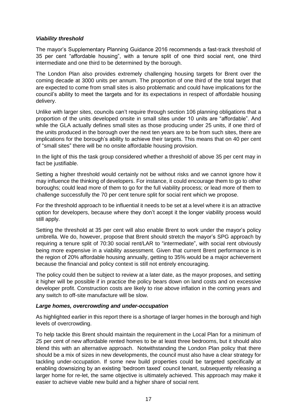### *Viability threshold*

The mayor's Supplementary Planning Guidance 2016 recommends a fast-track threshold of 35 per cent "affordable housing", with a tenure split of one third social rent, one third intermediate and one third to be determined by the borough.

The London Plan also provides extremely challenging housing targets for Brent over the coming decade at 3000 units per annum. The proportion of one third of the total target that are expected to come from small sites is also problematic and could have implications for the council's ability to meet the targets and for its expectations in respect of affordable housing delivery.

Unlike with larger sites, councils can't require through section 106 planning obligations that a proportion of the units developed onsite in small sites under 10 units are "affordable". And while the GLA actually defines small sites as those producing under 25 units, if one third of the units produced in the borough over the next ten years are to be from such sites, there are implications for the borough's ability to achieve their targets. This means that on 40 per cent of "small sites" there will be no onsite affordable housing provision.

In the light of this the task group considered whether a threshold of above 35 per cent may in fact be justifiable.

Setting a higher threshold would certainly not be without risks and we cannot ignore how it may influence the thinking of developers. For instance, it could encourage them to go to other boroughs; could lead more of them to go for the full viability process; or lead more of them to challenge successfully the 70 per cent tenure split for social rent which we propose.

For the threshold approach to be influential it needs to be set at a level where it is an attractive option for developers, because where they don't accept it the longer viability process would still apply.

Setting the threshold at 35 per cent will also enable Brent to work under the mayor's policy umbrella. We do, however, propose that Brent should stretch the mayor's SPG approach by requiring a tenure split of 70:30 social rent/LAR to "intermediate", with social rent obviously being more expensive in a viability assessment. Given that current Brent performance is in the region of 20% affordable housing annually, getting to 35% would be a major achievement because the financial and policy context is still not entirely encouraging.

The policy could then be subject to review at a later date, as the mayor proposes, and setting it higher will be possible if in practice the policy bears down on land costs and on excessive developer profit. Construction costs are likely to rise above inflation in the coming years and any switch to off-site manufacture will be slow.

### *Large homes, overcrowding and under-occupation*

As highlighted earlier in this report there is a shortage of larger homes in the borough and high levels of overcrowding.

To help tackle this Brent should maintain the requirement in the Local Plan for a minimum of 25 per cent of new affordable rented homes to be at least three bedrooms, but it should also blend this with an alternative approach. Notwithstanding the London Plan policy that there should be a mix of sizes in new developments, the council must also have a clear strategy for tackling under-occupation. If some new build properties could be targeted specifically at enabling downsizing by an existing 'bedroom taxed' council tenant, subsequently releasing a larger home for re-let, the same objective is ultimately achieved. This approach may make it easier to achieve viable new build and a higher share of social rent.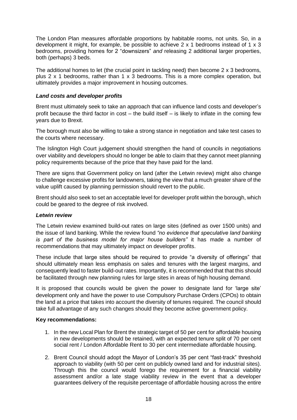The London Plan measures affordable proportions by habitable rooms, not units. So, in a development it might, for example, be possible to achieve  $2 \times 1$  bedrooms instead of  $1 \times 3$ bedrooms, providing homes for 2 "downsizers" *and* releasing 2 additional larger properties, both (perhaps) 3 beds.

The additional homes to let (the crucial point in tackling need) then become 2 x 3 bedrooms, plus 2 x 1 bedrooms, rather than 1 x 3 bedrooms. This is a more complex operation, but ultimately provides a major improvement in housing outcomes.

### *Land costs and developer profits*

Brent must ultimately seek to take an approach that can influence land costs and developer's profit because the third factor in cost – the build itself – is likely to inflate in the coming few years due to Brexit.

The borough must also be willing to take a strong stance in negotiation and take test cases to the courts where necessary.

The Islington High Court judgement should strengthen the hand of councils in negotiations over viability and developers should no longer be able to claim that they cannot meet planning policy requirements because of the price that they have paid for the land.

There are signs that Government policy on land (after the Letwin review) might also change to challenge excessive profits for landowners, taking the view that a much greater share of the value uplift caused by planning permission should revert to the public.

Brent should also seek to set an acceptable level for developer profit within the borough, which could be geared to the degree of risk involved.

### *Letwin review*

The Letwin review examined build-out rates on large sites (defined as over 1500 units) and the issue of land banking. While the review found *"no evidence that speculative land banking is part of the business model for major house builders"* it has made a number of recommendations that may ultimately impact on developer profits.

These include that large sites should be required to provide "a diversity of offerings" that should ultimately mean less emphasis on sales and tenures with the largest margins, and consequently lead to faster build-out rates. Importantly, it is recommended that that this should be facilitated through new planning rules for large sites in areas of high housing demand.

It is proposed that councils would be given the power to designate land for 'large site' development only and have the power to use Compulsory Purchase Orders (CPOs) to obtain the land at a price that takes into account the diversity of tenures required. The council should take full advantage of any such changes should they become active government policy.

### **Key recommendations:**

- 1. In the new Local Plan for Brent the strategic target of 50 per cent for affordable housing in new developments should be retained, with an expected tenure split of 70 per cent social rent / London Affordable Rent to 30 per cent intermediate affordable housing.
- 2. Brent Council should adopt the Mayor of London's 35 per cent "fast-track" threshold approach to viability (with 50 per cent on publicly owned land and for industrial sites). Through this the council would forego the requirement for a financial viability assessment and/or a late stage viability review in the event that a developer guarantees delivery of the requisite percentage of affordable housing across the entire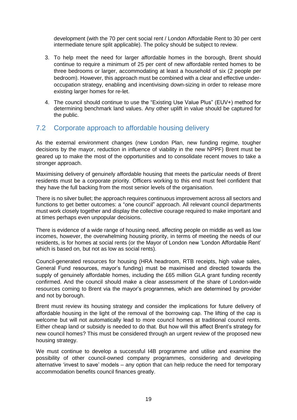development (with the 70 per cent social rent / London Affordable Rent to 30 per cent intermediate tenure split applicable). The policy should be subject to review.

- 3. To help meet the need for larger affordable homes in the borough, Brent should continue to require a minimum of 25 per cent of new affordable rented homes to be three bedrooms or larger, accommodating at least a household of six (2 people per bedroom). However, this approach must be combined with a clear and effective underoccupation strategy, enabling and incentivising down-sizing in order to release more existing larger homes for re-let.
- 4. The council should continue to use the "Existing Use Value Plus" (EUV+) method for determining benchmark land values. Any other uplift in value should be captured for the public.

# <span id="page-20-0"></span>7.2 Corporate approach to affordable housing delivery

As the external environment changes (new London Plan, new funding regime, tougher decisions by the mayor, reduction in influence of viability in the new NPPF) Brent must be geared up to make the most of the opportunities and to consolidate recent moves to take a stronger approach.

Maximising delivery of genuinely affordable housing that meets the particular needs of Brent residents must be a corporate priority. Officers working to this end must feel confident that they have the full backing from the most senior levels of the organisation.

There is no silver bullet; the approach requires continuous improvement across all sectors and functions to get better outcomes: a "one council" approach. All relevant council departments must work closely together and display the collective courage required to make important and at times perhaps even unpopular decisions.

There is evidence of a wide range of housing need, affecting people on middle as well as low incomes, however, the overwhelming housing priority, in terms of meeting the needs of our residents, is for homes at social rents (or the Mayor of London new 'London Affordable Rent' which is based on, but not as low as social rents).

Council-generated resources for housing (HRA headroom, RTB receipts, high value sales, General Fund resources, mayor's funding) must be maximised and directed towards the supply of genuinely affordable homes, including the £65 million GLA grant funding recently confirmed. And the council should make a clear assessment of the share of London-wide resources coming to Brent via the mayor's programmes, which are determined by provider and not by borough.

Brent must review its housing strategy and consider the implications for future delivery of affordable housing in the light of the removal of the borrowing cap. The lifting of the cap is welcome but will not automatically lead to more council homes at traditional council rents. Either cheap land or subsidy is needed to do that. But how will this affect Brent's strategy for new council homes? This must be considered through an urgent review of the proposed new housing strategy.

We must continue to develop a successful I4B programme and utilise and examine the possibility of other council-owned company programmes, considering and developing alternative 'invest to save' models – any option that can help reduce the need for temporary accommodation benefits council finances greatly.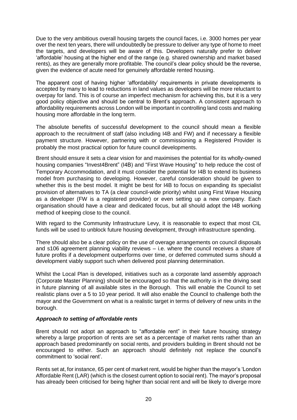Due to the very ambitious overall housing targets the council faces, i.e. 3000 homes per year over the next ten years, there will undoubtedly be pressure to deliver any type of home to meet the targets, and developers will be aware of this. Developers naturally prefer to deliver 'affordable' housing at the higher end of the range (e.g. shared ownership and market based rents), as they are generally more profitable. The council's clear policy should be the reverse, given the evidence of acute need for genuinely affordable rented housing.

The apparent cost of having higher 'affordability' requirements in private developments is accepted by many to lead to reductions in land values as developers will be more reluctant to overpay for land. This is of course an imperfect mechanism for achieving this, but it is a very good policy objective and should be central to Brent's approach. A consistent approach to affordability requirements across London will be important in controlling land costs and making housing more affordable in the long term.

The absolute benefits of successful development to the council should mean a flexible approach to the recruitment of staff (also including I4B and FW) and if necessary a flexible payment structure. However, partnering with or commissioning a Registered Provider is probably the most practical option for future council developments.

Brent should ensure it sets a clear vision for and maximises the potential for its wholly-owned housing companies "Invest4Brent" (I4B) and "First Wave Housing" to help reduce the cost of Temporary Accommodation, and it must consider the potential for I4B to extend its business model from purchasing to developing. However, careful consideration should be given to whether this is the best model. It might be best for I4B to focus on expanding its specialist provision of alternatives to TA (a clear council-wide priority) whilst using First Wave Housing as a developer (FW is a registered provider) or even setting up a new company. Each organisation should have a clear and dedicated focus, but all should adopt the I4B working method of keeping close to the council.

With regard to the Community Infrastructure Levy, it is reasonable to expect that most CIL funds will be used to unblock future housing development, through infrastructure spending.

There should also be a clear policy on the use of overage arrangements on council disposals and s106 agreement planning viability reviews – i.e. where the council receives a share of future profits if a development outperforms over time, or deferred commuted sums should a development viably support such when delivered post planning determination.

Whilst the Local Plan is developed, initiatives such as a corporate land assembly approach (Corporate Master Planning) should be encouraged so that the authority is in the driving seat in future planning of all available sites in the Borough. This will enable the Council to set realistic plans over a 5 to 10 year period. It will also enable the Council to challenge both the mayor and the Government on what is a realistic target in terms of delivery of new units in the borough.

### *Approach to setting of affordable rents*

Brent should not adopt an approach to "affordable rent" in their future housing strategy whereby a large proportion of rents are set as a percentage of market rents rather than an approach based predominantly on social rents, and providers building in Brent should not be encouraged to either. Such an approach should definitely not replace the council's commitment to 'social rent'.

Rents set at, for instance, 65 per cent of market rent, would be higher than the mayor's 'London Affordable Rent (LAR) (which is the closest current option to social rent). The mayor's proposal has already been criticised for being higher than social rent and will be likely to diverge more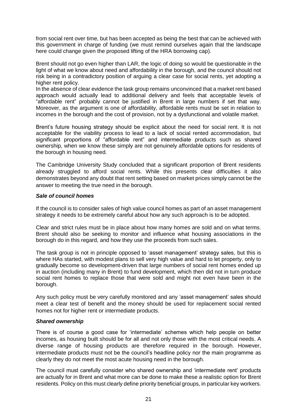from social rent over time, but has been accepted as being the best that can be achieved with this government in charge of funding (we must remind ourselves again that the landscape here could change given the proposed lifting of the HRA borrowing cap).

Brent should not go even higher than LAR, the logic of doing so would be questionable in the light of what we know about need and affordability in the borough, and the council should not risk being in a contradictory position of arguing a clear case for social rents, yet adopting a higher rent policy.

In the absence of clear evidence the task group remains unconvinced that a market rent based approach would actually lead to additional delivery and feels that acceptable levels of "affordable rent" probably cannot be justified in Brent in large numbers if set that way. Moreover, as the argument is one of affordability, affordable rents must be set in relation to incomes in the borough and the cost of provision, not by a dysfunctional and volatile market.

Brent's future housing strategy should be explicit about the need for social rent. It is not acceptable for the viability process to lead to a lack of social rented accommodation, but significant proportions of "affordable rent" and intermediate products such as shared ownership, when we know these simply are not genuinely affordable options for residents of the borough in housing need.

The Cambridge University Study concluded that a significant proportion of Brent residents already struggled to afford social rents. While this presents clear difficulties it also demonstrates beyond any doubt that rent setting based on market prices simply cannot be the answer to meeting the true need in the borough.

### *Sale of council homes*

If the council is to consider sales of high value council homes as part of an asset management strategy it needs to be extremely careful about how any such approach is to be adopted.

Clear and strict rules must be in place about how many homes are sold and on what terms. Brent should also be seeking to monitor and influence what housing associations in the borough do in this regard, and how they use the proceeds from such sales.

The task group is not in principle opposed to 'asset management' strategy sales, but this is where HAs started, with modest plans to sell very high value and hard to let property, only to gradually become so development-driven that large numbers of social rent homes ended up in auction (including many in Brent) to fund development, which then did not in turn produce social rent homes to replace those that were sold and might not even have been in the borough.

Any such policy must be very carefully monitored and any 'asset management' sales should meet a clear test of benefit and the money should be used for replacement social rented homes not for higher rent or intermediate products.

### *Shared ownership*

There is of course a good case for 'intermediate' schemes which help people on better incomes, as housing built should be for all and not only those with the most critical needs. A diverse range of housing products are therefore required in the borough. However, intermediate products must not be the council's headline policy nor the main programme as clearly they do not meet the most acute housing need in the borough.

The council must carefully consider who shared ownership and 'intermediate rent' products are actually for in Brent and what more can be done to make these a realistic option for Brent residents. Policy on this must clearly define priority beneficial groups, in particular key workers.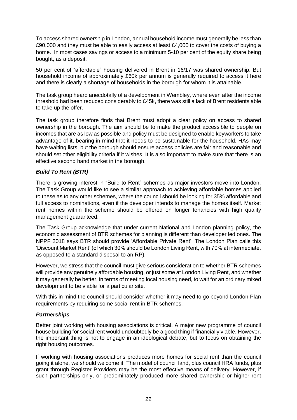To access shared ownership in London, annual household income must generally be less than £90,000 and they must be able to easily access at least £4,000 to cover the costs of buying a home. In most cases savings or access to a minimum 5-10 per cent of the equity share being bought, as a deposit.

50 per cent of "affordable" housing delivered in Brent in 16/17 was shared ownership. But household income of approximately £60k per annum is generally required to access it here and there is clearly a shortage of households in the borough for whom it is attainable.

The task group heard anecdotally of a development in Wembley, where even after the income threshold had been reduced considerably to £45k, there was still a lack of Brent residents able to take up the offer.

The task group therefore finds that Brent must adopt a clear policy on access to shared ownership in the borough. The aim should be to make the product accessible to people on incomes that are as low as possible and policy must be designed to enable keyworkers to take advantage of it, bearing in mind that it needs to be sustainable for the household. HAs may have waiting lists, but the borough should ensure access policies are fair and reasonable and should set other eligibility criteria if it wishes. It is also important to make sure that there is an effective second hand market in the borough.

### *Build To Rent (BTR)*

There is growing interest in "Build to Rent" schemes as major investors move into London. The Task Group would like to see a similar approach to achieving affordable homes applied to these as to any other schemes, where the council should be looking for 35% affordable and full access to nominations, even if the developer intends to manage the homes itself. Market rent homes within the scheme should be offered on longer tenancies with high quality management guaranteed.

The Task Group acknowledge that under current National and London planning policy, the economic assessment of BTR schemes for planning is different than developer led ones. The NPPF 2018 says BTR should provide 'Affordable Private Rent'; The London Plan calls this 'Discount Market Rent' (of which 30% should be London Living Rent, with 70% at intermediate, as opposed to a standard disposal to an RP).

However, we stress that the council must give serious consideration to whether BTR schemes will provide any genuinely affordable housing, or just some at London Living Rent, and whether it may generally be better, in terms of meeting local housing need, to wait for an ordinary mixed development to be viable for a particular site.

With this in mind the council should consider whether it may need to go beyond London Plan requirements by requiring some social rent in BTR schemes.

### *Partnerships*

Better joint working with housing associations is critical. A major new programme of council house building for social rent would undoubtedly be a good thing if financially viable. However, the important thing is not to engage in an ideological debate, but to focus on obtaining the right housing outcomes.

If working with housing associations produces more homes for social rent than the council going it alone, we should welcome it. The model of council land, plus council HRA funds, plus grant through Register Providers may be the most effective means of delivery. However, if such partnerships only, or predominately produced more shared ownership or higher rent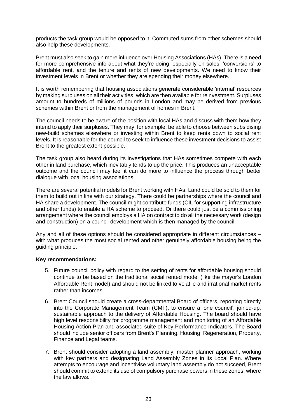products the task group would be opposed to it. Commuted sums from other schemes should also help these developments.

Brent must also seek to gain more influence over Housing Associations (HAs). There is a need for more comprehensive info about what they're doing, especially on sales, 'conversions' to affordable rent, and the tenure and rents of new developments. We need to know their investment levels in Brent or whether they are spending their money elsewhere.

It is worth remembering that housing associations generate considerable 'internal' resources by making surpluses on all their activities, which are then available for reinvestment. Surpluses amount to hundreds of millions of pounds in London and may be derived from previous schemes within Brent or from the management of homes in Brent.

The council needs to be aware of the position with local HAs and discuss with them how they intend to apply their surpluses. They may, for example, be able to choose between subsidising new-build schemes elsewhere or investing within Brent to keep rents down to social rent levels. It is reasonable for the council to seek to influence these investment decisions to assist Brent to the greatest extent possible.

The task group also heard during its investigations that HAs sometimes compete with each other in land purchase, which inevitably tends to up the price. This produces an unacceptable outcome and the council may feel it can do more to influence the process through better dialogue with local housing associations.

There are several potential models for Brent working with HAs. Land could be sold to them for them to build out in line with our strategy. There could be partnerships where the council and HA share a development. The council might contribute funds (CIL for supporting infrastructure and other funds) to enable a HA scheme to proceed. Or there could just be a commissioning arrangement where the council employs a HA on contract to do all the necessary work (design and construction) on a council development which is then managed by the council.

Any and all of these options should be considered appropriate in different circumstances – with what produces the most social rented and other genuinely affordable housing being the guiding principle.

### **Key recommendations:**

- 5. Future council policy with regard to the setting of rents for affordable housing should continue to be based on the traditional social rented model (like the mayor's London Affordable Rent model) and should not be linked to volatile and irrational market rents rather than incomes.
- 6. Brent Council should create a cross-departmental Board of officers, reporting directly into the Corporate Management Team (CMT), to ensure a 'one council', joined-up, sustainable approach to the delivery of Affordable Housing. The board should have high level responsibility for programme management and monitoring of an Affordable Housing Action Plan and associated suite of Key Performance Indicators. The Board should include senior officers from Brent's Planning, Housing, Regeneration, Property, Finance and Legal teams.
- 7. Brent should consider adopting a land assembly, master planner approach, working with key partners and designating Land Assembly Zones in its Local Plan. Where attempts to encourage and incentivise voluntary land assembly do not succeed, Brent should commit to extend its use of compulsory purchase powers in these zones, where the law allows.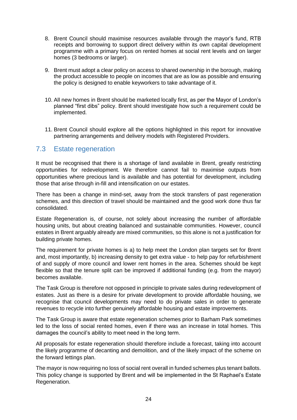- 8. Brent Council should maximise resources available through the mayor's fund, RTB receipts and borrowing to support direct delivery within its own capital development programme with a primary focus on rented homes at social rent levels and on larger homes (3 bedrooms or larger).
- 9. Brent must adopt a clear policy on access to shared ownership in the borough, making the product accessible to people on incomes that are as low as possible and ensuring the policy is designed to enable keyworkers to take advantage of it.
- 10. All new homes in Brent should be marketed locally first, as per the Mayor of London's planned "first dibs" policy. Brent should investigate how such a requirement could be implemented.
- 11. Brent Council should explore all the options highlighted in this report for innovative partnering arrangements and delivery models with Registered Providers.

### <span id="page-25-0"></span>7.3 Estate regeneration

It must be recognised that there is a shortage of land available in Brent, greatly restricting opportunities for redevelopment. We therefore cannot fail to maximise outputs from opportunities where precious land is available and has potential for development, including those that arise through in-fill and intensification on our estates.

There has been a change in mind-set, away from the stock transfers of past regeneration schemes, and this direction of travel should be maintained and the good work done thus far consolidated.

Estate Regeneration is, of course, not solely about increasing the number of affordable housing units, but about creating balanced and sustainable communities. However, council estates in Brent arguably already are mixed communities, so this alone is not a justification for building private homes.

The requirement for private homes is a) to help meet the London plan targets set for Brent and, most importantly, b) increasing density to get extra value - to help pay for refurbishment of and supply of more council and lower rent homes in the area. Schemes should be kept flexible so that the tenure split can be improved if additional funding (e.g. from the mayor) becomes available.

The Task Group is therefore not opposed in principle to private sales during redevelopment of estates. Just as there is a desire for private development to provide affordable housing, we recognise that council developments may need to do private sales in order to generate revenues to recycle into further genuinely affordable housing and estate improvements.

The Task Group is aware that estate regeneration schemes prior to Barham Park sometimes led to the loss of social rented homes, even if there was an increase in total homes. This damages the council's ability to meet need in the long term.

All proposals for estate regeneration should therefore include a forecast, taking into account the likely programme of decanting and demolition, and of the likely impact of the scheme on the forward lettings plan.

The mayor is now requiring no loss of social rent overall in funded schemes plus tenant ballots. This policy change is supported by Brent and will be implemented in the St Raphael's Estate Regeneration.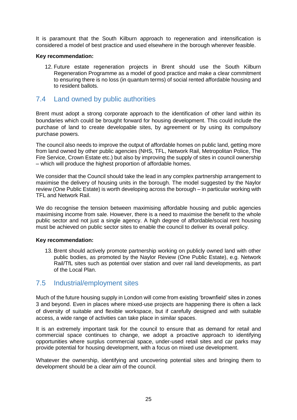It is paramount that the South Kilburn approach to regeneration and intensification is considered a model of best practice and used elsewhere in the borough wherever feasible.

#### **Key recommendation:**

12. Future estate regeneration projects in Brent should use the South Kilburn Regeneration Programme as a model of good practice and make a clear commitment to ensuring there is no loss (in quantum terms) of social rented affordable housing and to resident ballots.

### <span id="page-26-0"></span>7.4 Land owned by public authorities

Brent must adopt a strong corporate approach to the identification of other land within its boundaries which could be brought forward for housing development. This could include the purchase of land to create developable sites, by agreement or by using its compulsory purchase powers.

The council also needs to improve the output of affordable homes on public land, getting more from land owned by other public agencies (NHS, TFL, Network Rail, Metropolitan Police, The Fire Service, Crown Estate etc.) but also by improving the supply of sites in council ownership – which will produce the highest proportion of affordable homes.

We consider that the Council should take the lead in any complex partnership arrangement to maximise the delivery of housing units in the borough. The model suggested by the Naylor review (One Public Estate) is worth developing across the borough – in particular working with TFL and Network Rail.

We do recognise the tension between maximising affordable housing and public agencies maximising income from sale. However, there is a need to maximise the benefit to the whole public sector and not just a single agency. A high degree of affordable/social rent housing must be achieved on public sector sites to enable the council to deliver its overall policy.

### **Key recommendation:**

13. Brent should actively promote partnership working on publicly owned land with other public bodies, as promoted by the Naylor Review (One Public Estate), e.g. Network Rail/TfL sites such as potential over station and over rail land developments, as part of the Local Plan.

### <span id="page-26-1"></span>7.5 Industrial/employment sites

Much of the future housing supply in London will come from existing 'brownfield' sites in zones 3 and beyond. Even in places where mixed-use projects are happening there is often a lack of diversity of suitable and flexible workspace, but if carefully designed and with suitable access, a wide range of activities can take place in similar spaces.

It is an extremely important task for the council to ensure that as demand for retail and commercial space continues to change, we adopt a proactive approach to identifying opportunities where surplus commercial space, under-used retail sites and car parks may provide potential for housing development, with a focus on mixed use development.

Whatever the ownership, identifying and uncovering potential sites and bringing them to development should be a clear aim of the council.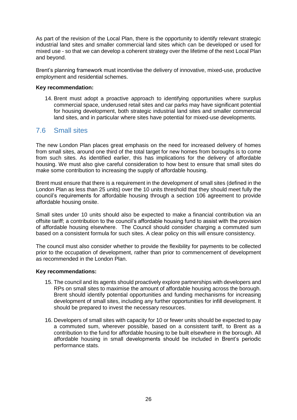As part of the revision of the Local Plan, there is the opportunity to identify relevant strategic industrial land sites and smaller commercial land sites which can be developed or used for mixed use - so that we can develop a coherent strategy over the lifetime of the next Local Plan and beyond.

Brent's planning framework must incentivise the delivery of innovative, mixed-use, productive employment and residential schemes.

#### **Key recommendation:**

14. Brent must adopt a proactive approach to identifying opportunities where surplus commercial space, underused retail sites and car parks may have significant potential for housing development, both strategic industrial land sites and smaller commercial land sites, and in particular where sites have potential for mixed-use developments.

### <span id="page-27-0"></span>7.6 Small sites

The new London Plan places great emphasis on the need for increased delivery of homes from small sites, around one third of the total target for new homes from boroughs is to come from such sites. As identified earlier, this has implications for the delivery of affordable housing. We must also give careful consideration to how best to ensure that small sites do make some contribution to increasing the supply of affordable housing.

Brent must ensure that there is a requirement in the development of small sites (defined in the London Plan as less than 25 units) over the 10 units threshold that they should meet fully the council's requirements for affordable housing through a section 106 agreement to provide affordable housing onsite.

Small sites under 10 units should also be expected to make a financial contribution via an offsite tariff; a contribution to the council's affordable housing fund to assist with the provision of affordable housing elsewhere. The Council should consider charging a commuted sum based on a consistent formula for such sites. A clear policy on this will ensure consistency.

The council must also consider whether to provide the flexibility for payments to be collected prior to the occupation of development, rather than prior to commencement of development as recommended in the London Plan.

### **Key recommendations:**

- 15. The council and its agents should proactively explore partnerships with developers and RPs on small sites to maximise the amount of affordable housing across the borough. Brent should identify potential opportunities and funding mechanisms for increasing development of small sites, including any further opportunities for infill development. It should be prepared to invest the necessary resources.
- 16. Developers of small sites with capacity for 10 or fewer units should be expected to pay a commuted sum, wherever possible, based on a consistent tariff, to Brent as a contribution to the fund for affordable housing to be built elsewhere in the borough. All affordable housing in small developments should be included in Brent's periodic performance stats.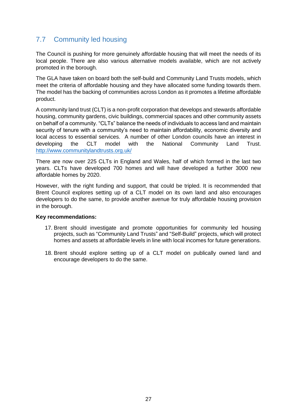# <span id="page-28-0"></span>7.7 Community led housing

The Council is pushing for more genuinely affordable housing that will meet the needs of its local people. There are also various alternative models available, which are not actively promoted in the borough.

The GLA have taken on board both the self-build and Community Land Trusts models, which meet the criteria of affordable housing and they have allocated some funding towards them. The model has the backing of communities across London as it promotes a lifetime affordable product.

A community land trust (CLT) is a non-profit corporation that develops and stewards affordable housing, community gardens, civic buildings, commercial spaces and other community assets on behalf of a community. "CLTs" balance the needs of individuals to access land and maintain security of tenure with a community's need to maintain affordability, economic diversity and local access to essential services. A number of other London councils have an interest in developing the CLT model with the National Community Land Trust. <http://www.communitylandtrusts.org.uk/>

There are now over 225 CLTs in England and Wales, half of which formed in the last two years. CLTs have developed 700 homes and will have developed a further 3000 new affordable homes by 2020.

However, with the right funding and support, that could be tripled. It is recommended that Brent Council explores setting up of a CLT model on its own land and also encourages developers to do the same, to provide another avenue for truly affordable housing provision in the borough.

### **Key recommendations:**

- 17. Brent should investigate and promote opportunities for community led housing projects, such as "Community Land Trusts" and "Self-Build" projects, which will protect homes and assets at affordable levels in line with local incomes for future generations.
- 18. Brent should explore setting up of a CLT model on publically owned land and encourage developers to do the same.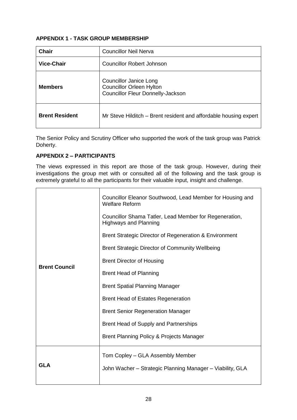### **APPENDIX 1 - TASK GROUP MEMBERSHIP**

| Chair                 | <b>Councillor Neil Nerva</b>                                                                                 |
|-----------------------|--------------------------------------------------------------------------------------------------------------|
| <b>Vice-Chair</b>     | Councillor Robert Johnson                                                                                    |
| <b>Members</b>        | <b>Councillor Janice Long</b><br><b>Councillor Orleen Hylton</b><br><b>Councillor Fleur Donnelly-Jackson</b> |
| <b>Brent Resident</b> | Mr Steve Hilditch – Brent resident and affordable housing expert                                             |

The Senior Policy and Scrutiny Officer who supported the work of the task group was Patrick Doherty.

### **APPENDIX 2 – PARTICIPANTS**

The views expressed in this report are those of the task group. However, during their investigations the group met with or consulted all of the following and the task group is extremely grateful to all the participants for their valuable input, insight and challenge.

|                      | Councillor Eleanor Southwood, Lead Member for Housing and<br><b>Welfare Reform</b>     |
|----------------------|----------------------------------------------------------------------------------------|
|                      | Councillor Shama Tatler, Lead Member for Regeneration,<br><b>Highways and Planning</b> |
|                      | Brent Strategic Director of Regeneration & Environment                                 |
|                      | <b>Brent Strategic Director of Community Wellbeing</b>                                 |
|                      | <b>Brent Director of Housing</b>                                                       |
| <b>Brent Council</b> | <b>Brent Head of Planning</b>                                                          |
|                      | <b>Brent Spatial Planning Manager</b>                                                  |
|                      | <b>Brent Head of Estates Regeneration</b>                                              |
|                      | <b>Brent Senior Regeneration Manager</b>                                               |
|                      | Brent Head of Supply and Partnerships                                                  |
|                      | Brent Planning Policy & Projects Manager                                               |
|                      | Tom Copley – GLA Assembly Member                                                       |
| <b>GLA</b>           | John Wacher - Strategic Planning Manager - Viability, GLA                              |
|                      |                                                                                        |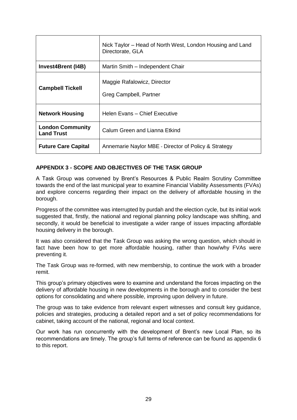|                                              | Nick Taylor – Head of North West, London Housing and Land<br>Directorate, GLA |
|----------------------------------------------|-------------------------------------------------------------------------------|
| <b>Invest4Brent (I4B)</b>                    | Martin Smith - Independent Chair                                              |
| <b>Campbell Tickell</b>                      | Maggie Rafalowicz, Director<br>Greg Campbell, Partner                         |
| <b>Network Housing</b>                       | Helen Evans - Chief Executive                                                 |
| <b>London Community</b><br><b>Land Trust</b> | Calum Green and Lianna Etkind                                                 |
| <b>Future Care Capital</b>                   | Annemarie Naylor MBE - Director of Policy & Strategy                          |

### **APPENDIX 3 - SCOPE AND OBJECTIVES OF THE TASK GROUP**

A Task Group was convened by Brent's Resources & Public Realm Scrutiny Committee towards the end of the last municipal year to examine Financial Viability Assessments (FVAs) and explore concerns regarding their impact on the delivery of affordable housing in the borough.

Progress of the committee was interrupted by purdah and the election cycle, but its initial work suggested that, firstly, the national and regional planning policy landscape was shifting, and secondly, it would be beneficial to investigate a wider range of issues impacting affordable housing delivery in the borough.

It was also considered that the Task Group was asking the wrong question, which should in fact have been how to get more affordable housing, rather than how/why FVAs were preventing it.

The Task Group was re-formed, with new membership, to continue the work with a broader remit.

This group's primary objectives were to examine and understand the forces impacting on the delivery of affordable housing in new developments in the borough and to consider the best options for consolidating and where possible, improving upon delivery in future.

The group was to take evidence from relevant expert witnesses and consult key guidance, policies and strategies, producing a detailed report and a set of policy recommendations for cabinet, taking account of the national, regional and local context.

Our work has run concurrently with the development of Brent's new Local Plan, so its recommendations are timely. The group's full terms of reference can be found as appendix 6 to this report.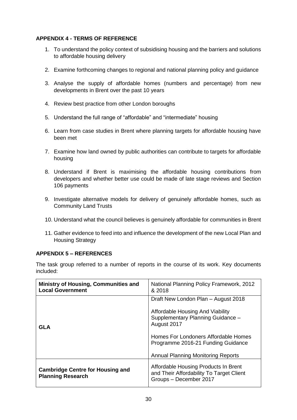### **APPENDIX 4 - TERMS OF REFERENCE**

- 1. To understand the policy context of subsidising housing and the barriers and solutions to affordable housing delivery
- 2. Examine forthcoming changes to regional and national planning policy and guidance
- 3. Analyse the supply of affordable homes (numbers and percentage) from new developments in Brent over the past 10 years
- 4. Review best practice from other London boroughs
- 5. Understand the full range of "affordable" and "intermediate" housing
- 6. Learn from case studies in Brent where planning targets for affordable housing have been met
- 7. Examine how land owned by public authorities can contribute to targets for affordable housing
- 8. Understand if Brent is maximising the affordable housing contributions from developers and whether better use could be made of late stage reviews and Section 106 payments
- 9. Investigate alternative models for delivery of genuinely affordable homes, such as Community Land Trusts
- 10. Understand what the council believes is genuinely affordable for communities in Brent
- 11. Gather evidence to feed into and influence the development of the new Local Plan and Housing Strategy

### **APPENDIX 5 – REFERENCES**

The task group referred to a number of reports in the course of its work. Key documents included:

| <b>Ministry of Housing, Communities and</b><br><b>Local Government</b> | National Planning Policy Framework, 2012<br>& 2018                                                         |
|------------------------------------------------------------------------|------------------------------------------------------------------------------------------------------------|
|                                                                        | Draft New London Plan - August 2018                                                                        |
| GLA                                                                    | Affordable Housing And Viability<br>Supplementary Planning Guidance -<br>August 2017                       |
|                                                                        | Homes For Londoners Affordable Homes<br>Programme 2016-21 Funding Guidance                                 |
|                                                                        | <b>Annual Planning Monitoring Reports</b>                                                                  |
| <b>Cambridge Centre for Housing and</b><br><b>Planning Research</b>    | Affordable Housing Products In Brent<br>and Their Affordability To Target Client<br>Groups - December 2017 |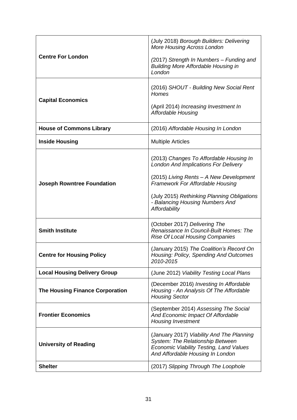|                                        | (July 2018) Borough Builders: Delivering<br><b>More Housing Across London</b>                                                                                       |
|----------------------------------------|---------------------------------------------------------------------------------------------------------------------------------------------------------------------|
| <b>Centre For London</b>               | (2017) Strength In Numbers - Funding and<br><b>Building More Affordable Housing in</b><br>London                                                                    |
| <b>Capital Economics</b>               | (2016) SHOUT - Building New Social Rent<br><b>Homes</b><br>(April 2014) Increasing Investment In<br><b>Affordable Housing</b>                                       |
|                                        |                                                                                                                                                                     |
| <b>House of Commons Library</b>        | (2016) Affordable Housing In London                                                                                                                                 |
| <b>Inside Housing</b>                  | <b>Multiple Articles</b>                                                                                                                                            |
|                                        | (2013) Changes To Affordable Housing In<br><b>London And Implications For Delivery</b>                                                                              |
| <b>Joseph Rowntree Foundation</b>      | (2015) Living Rents - A New Development<br><b>Framework For Affordable Housing</b>                                                                                  |
|                                        | (July 2015) Rethinking Planning Obligations<br>- Balancing Housing Numbers And<br>Affordability                                                                     |
| <b>Smith Institute</b>                 | (October 2017) Delivering The<br>Renaissance In Council-Built Homes: The<br><b>Rise Of Local Housing Companies</b>                                                  |
| <b>Centre for Housing Policy</b>       | (January 2015) The Coalition's Record On<br>Housing: Policy, Spending And Outcomes<br>2010-2015                                                                     |
| <b>Local Housing Delivery Group</b>    | (June 2012) Viability Testing Local Plans                                                                                                                           |
| <b>The Housing Finance Corporation</b> | (December 2016) Investing In Affordable<br>Housing - An Analysis Of The Affordable<br><b>Housing Sector</b>                                                         |
| <b>Frontier Economics</b>              | (September 2014) Assessing The Social<br>And Economic Impact Of Affordable<br><b>Housing Investment</b>                                                             |
| <b>University of Reading</b>           | (January 2017) Viability And The Planning<br>System: The Relationship Between<br><b>Economic Viability Testing, Land Values</b><br>And Affordable Housing In London |
| <b>Shelter</b>                         | (2017) Slipping Through The Loophole                                                                                                                                |